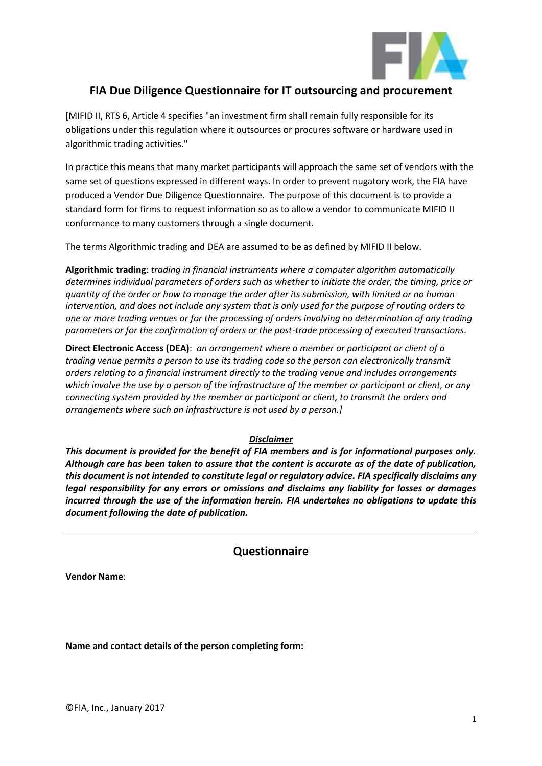

## **FIA Due Diligence Questionnaire for IT outsourcing and procurement**

[MIFID II, RTS 6, Article 4 specifies "an investment firm shall remain fully responsible for its obligations under this regulation where it outsources or procures software or hardware used in algorithmic trading activities."

In practice this means that many market participants will approach the same set of vendors with the same set of questions expressed in different ways. In order to prevent nugatory work, the FIA have produced a Vendor Due Diligence Questionnaire. The purpose of this document is to provide a standard form for firms to request information so as to allow a vendor to communicate MIFID II conformance to many customers through a single document.

The terms Algorithmic trading and DEA are assumed to be as defined by MIFID II below.

**Algorithmic trading**: *trading in financial instruments where a computer algorithm automatically determines individual parameters of orders such as whether to initiate the order, the timing, price or quantity of the order or how to manage the order after its submission, with limited or no human intervention, and does not include any system that is only used for the purpose of routing orders to one or more trading venues or for the processing of orders involving no determination of any trading parameters or for the confirmation of orders or the post-trade processing of executed transactions*.

**Direct Electronic Access (DEA)**: *an arrangement where a member or participant or client of a trading venue permits a person to use its trading code so the person can electronically transmit orders relating to a financial instrument directly to the trading venue and includes arrangements which involve the use by a person of the infrastructure of the member or participant or client, or any connecting system provided by the member or participant or client, to transmit the orders and arrangements where such an infrastructure is not used by a person.]*

#### *Disclaimer*

*This document is provided for the benefit of FIA members and is for informational purposes only. Although care has been taken to assure that the content is accurate as of the date of publication, this document is not intended to constitute legal or regulatory advice. FIA specifically disclaims any legal responsibility for any errors or omissions and disclaims any liability for losses or damages incurred through the use of the information herein. FIA undertakes no obligations to update this document following the date of publication.*

#### **Questionnaire**

**Vendor Name**:

**Name and contact details of the person completing form:**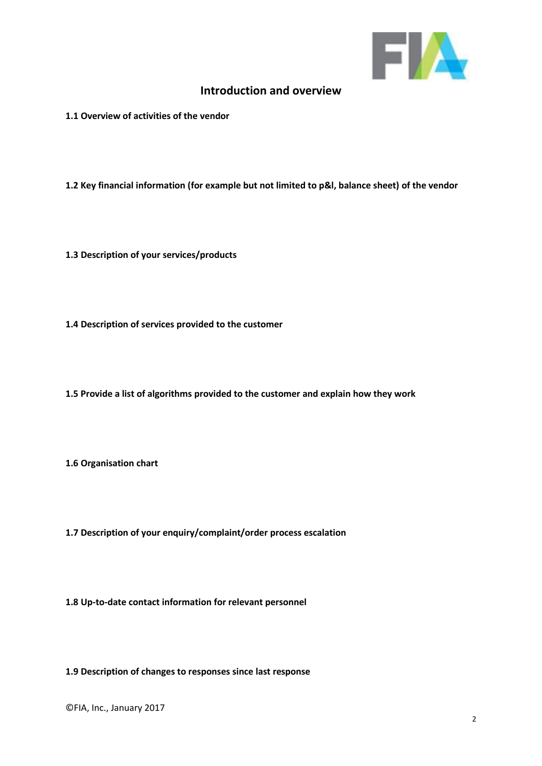

#### **Introduction and overview**

**1.1 Overview of activities of the vendor**

**1.2 Key financial information (for example but not limited to p&l, balance sheet) of the vendor**

**1.3 Description of your services/products**

**1.4 Description of services provided to the customer**

**1.5 Provide a list of algorithms provided to the customer and explain how they work**

**1.6 Organisation chart**

**1.7 Description of your enquiry/complaint/order process escalation**

**1.8 Up-to-date contact information for relevant personnel**

**1.9 Description of changes to responses since last response**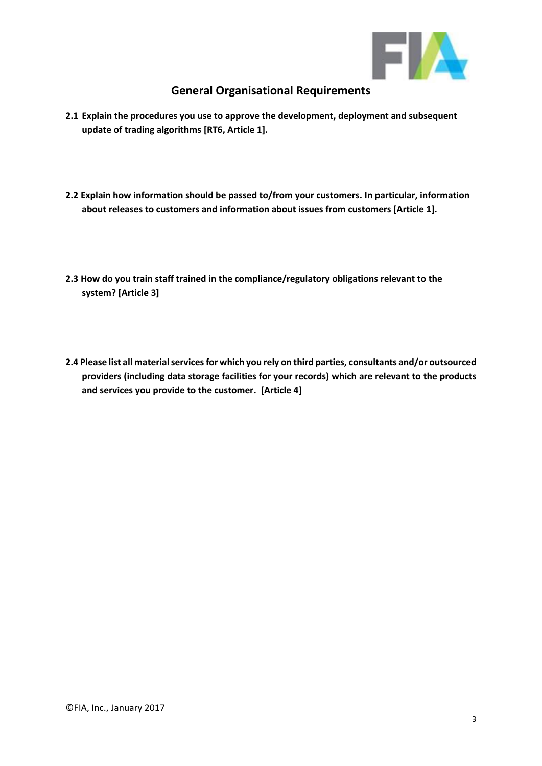

# **General Organisational Requirements**

- **2.1 Explain the procedures you use to approve the development, deployment and subsequent update of trading algorithms [RT6, Article 1].**
- **2.2 Explain how information should be passed to/from your customers. In particular, information about releases to customers and information about issues from customers [Article 1].**
- **2.3 How do you train staff trained in the compliance/regulatory obligations relevant to the system? [Article 3]**
- **2.4 Please list all material services for which you rely on third parties, consultants and/or outsourced providers (including data storage facilities for your records) which are relevant to the products and services you provide to the customer. [Article 4]**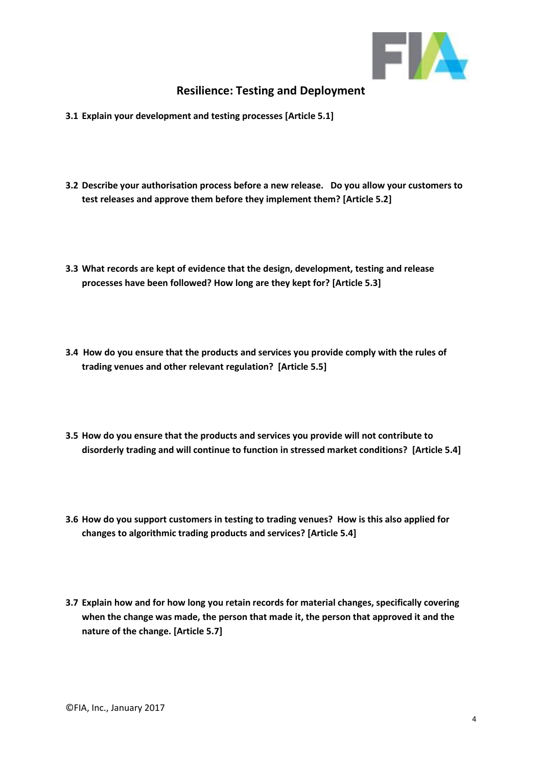

## **Resilience: Testing and Deployment**

- **3.1 Explain your development and testing processes [Article 5.1]**
- **3.2 Describe your authorisation process before a new release. Do you allow your customers to test releases and approve them before they implement them? [Article 5.2]**
- **3.3 What records are kept of evidence that the design, development, testing and release processes have been followed? How long are they kept for? [Article 5.3]**
- **3.4 How do you ensure that the products and services you provide comply with the rules of trading venues and other relevant regulation? [Article 5.5]**
- **3.5 How do you ensure that the products and services you provide will not contribute to disorderly trading and will continue to function in stressed market conditions? [Article 5.4]**
- **3.6 How do you support customers in testing to trading venues? How is this also applied for changes to algorithmic trading products and services? [Article 5.4]**
- **3.7 Explain how and for how long you retain records for material changes, specifically covering when the change was made, the person that made it, the person that approved it and the nature of the change. [Article 5.7]**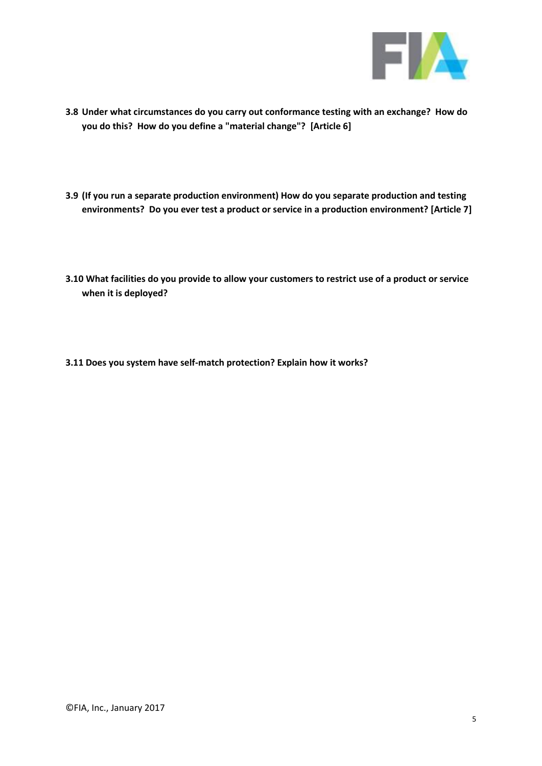

- **3.8 Under what circumstances do you carry out conformance testing with an exchange? How do you do this? How do you define a "material change"? [Article 6]**
- **3.9 (If you run a separate production environment) How do you separate production and testing environments? Do you ever test a product or service in a production environment? [Article 7]**
- **3.10 What facilities do you provide to allow your customers to restrict use of a product or service when it is deployed?**
- **3.11 Does you system have self-match protection? Explain how it works?**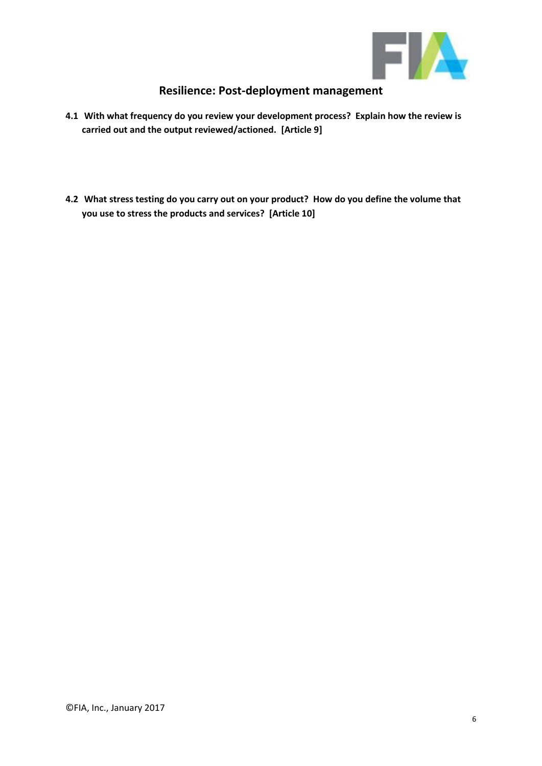

# **Resilience: Post-deployment management**

- **4.1 With what frequency do you review your development process? Explain how the review is carried out and the output reviewed/actioned. [Article 9]**
- **4.2 What stress testing do you carry out on your product? How do you define the volume that you use to stress the products and services? [Article 10]**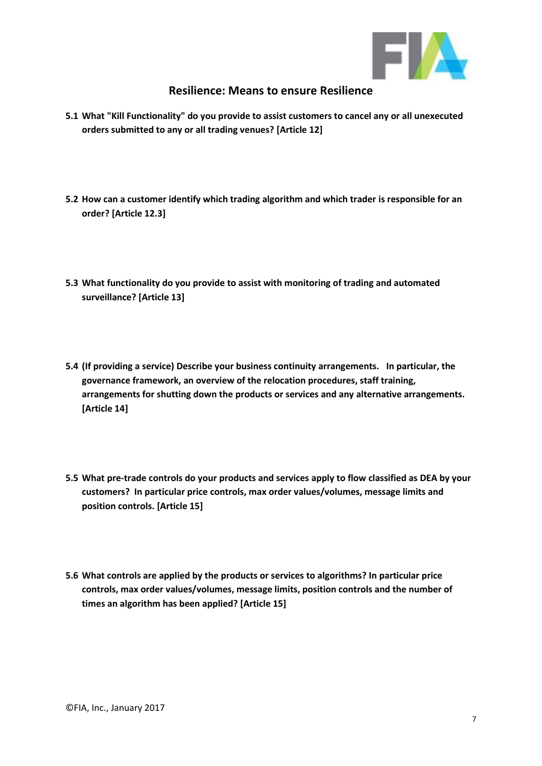

#### **Resilience: Means to ensure Resilience**

- **5.1 What "Kill Functionality" do you provide to assist customers to cancel any or all unexecuted orders submitted to any or all trading venues? [Article 12]**
- **5.2 How can a customer identify which trading algorithm and which trader is responsible for an order? [Article 12.3]**
- **5.3 What functionality do you provide to assist with monitoring of trading and automated surveillance? [Article 13]**
- **5.4 (If providing a service) Describe your business continuity arrangements. In particular, the governance framework, an overview of the relocation procedures, staff training, arrangements for shutting down the products or services and any alternative arrangements. [Article 14]**
- **5.5 What pre-trade controls do your products and services apply to flow classified as DEA by your customers? In particular price controls, max order values/volumes, message limits and position controls. [Article 15]**
- **5.6 What controls are applied by the products or services to algorithms? In particular price controls, max order values/volumes, message limits, position controls and the number of times an algorithm has been applied? [Article 15]**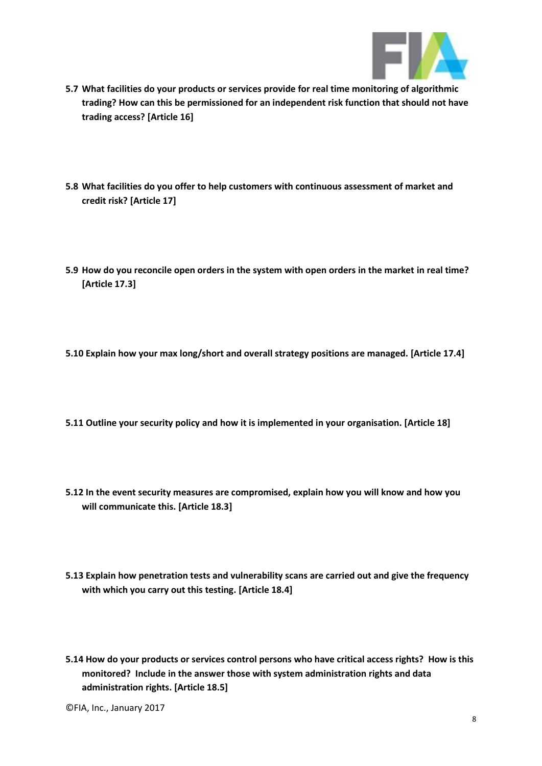

- **5.7 What facilities do your products or services provide for real time monitoring of algorithmic trading? How can this be permissioned for an independent risk function that should not have trading access? [Article 16]**
- **5.8 What facilities do you offer to help customers with continuous assessment of market and credit risk? [Article 17]**
- **5.9 How do you reconcile open orders in the system with open orders in the market in real time? [Article 17.3]**
- **5.10 Explain how your max long/short and overall strategy positions are managed. [Article 17.4]**
- **5.11 Outline your security policy and how it is implemented in your organisation. [Article 18]**
- **5.12 In the event security measures are compromised, explain how you will know and how you will communicate this. [Article 18.3]**
- **5.13 Explain how penetration tests and vulnerability scans are carried out and give the frequency with which you carry out this testing. [Article 18.4]**
- **5.14 How do your products or services control persons who have critical access rights? How is this monitored? Include in the answer those with system administration rights and data administration rights. [Article 18.5]**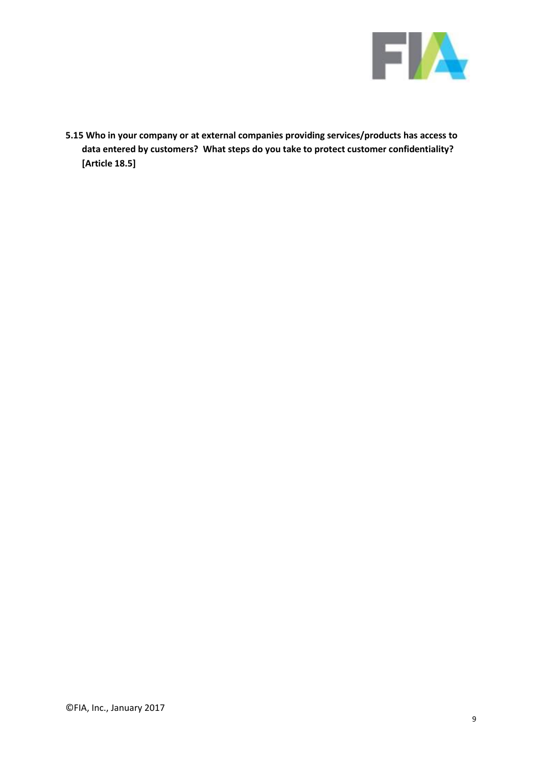

**5.15 Who in your company or at external companies providing services/products has access to data entered by customers? What steps do you take to protect customer confidentiality? [Article 18.5]**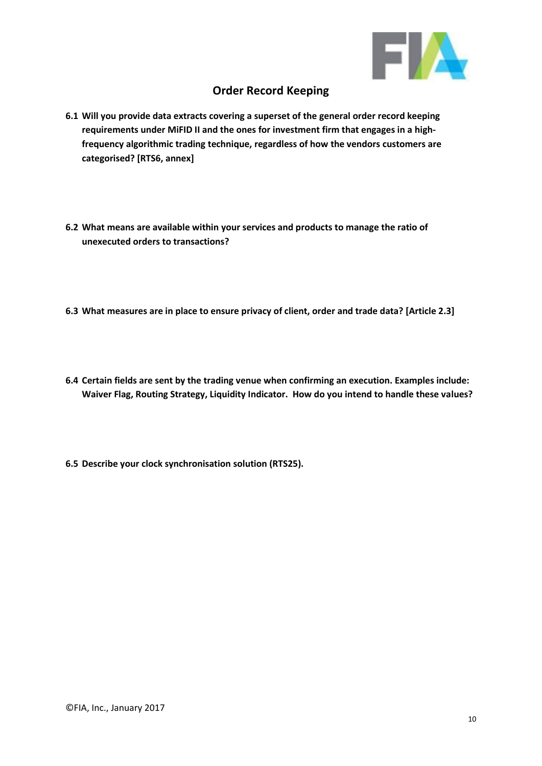

# **Order Record Keeping**

- **6.1 Will you provide data extracts covering a superset of the general order record keeping requirements under MiFID II and the ones for investment firm that engages in a highfrequency algorithmic trading technique, regardless of how the vendors customers are categorised? [RTS6, annex]**
- **6.2 What means are available within your services and products to manage the ratio of unexecuted orders to transactions?**
- **6.3 What measures are in place to ensure privacy of client, order and trade data? [Article 2.3]**
- **6.4 Certain fields are sent by the trading venue when confirming an execution. Examples include: Waiver Flag, Routing Strategy, Liquidity Indicator. How do you intend to handle these values?**
- **6.5 Describe your clock synchronisation solution (RTS25).**